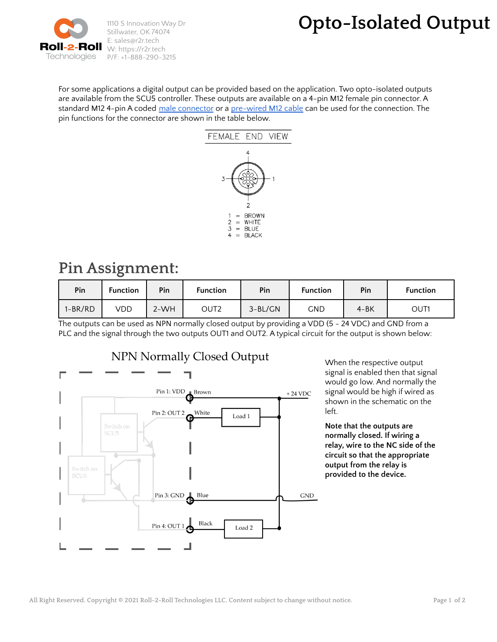

## **Opto-Isolated Output**

For some applications a digital output can be provided based on the application. Two opto-isolated outputs are available from the SCU5 controller. These outputs are available on a 4-pin M12 female pin connector. A standard M12 4-pin A coded male [connector](https://www.automationdirect.com/adc/shopping/catalog/wiring_solutions/field_wireable_connectors_-a-_t-couplers/7000-12701-0000000) or a [pre-wired](https://www.alliedelec.com/turck-rss-4-4t-2/70899170/) M12 cable can be used for the connection. The pin functions for the connector are shown in the table below.



## **Pin Assignment:**

| Pin       | <b>Function</b> | Pin    | <b>Function</b> | Pin       | <b>Function</b> | Pin      | <b>Function</b> |
|-----------|-----------------|--------|-----------------|-----------|-----------------|----------|-----------------|
| $1-BR/RD$ | VDD             | $2-WH$ | OUT2            | $3-BL/GN$ | GND             | $4 - BK$ | OUT1            |

The outputs can be used as NPN normally closed output by providing a VDD (5 - 24 VDC) and GND from a PLC and the signal through the two outputs OUT1 and OUT2. A typical circuit for the output is shown below:



When the respective output signal is enabled then that signal would go low. And normally the signal would be high if wired as shown in the schematic on the left.

**Note that the outputs are normally closed. If wiring a relay, wire to the NC side of the circuit so that the appropriate output from the relay is provided to the device.**